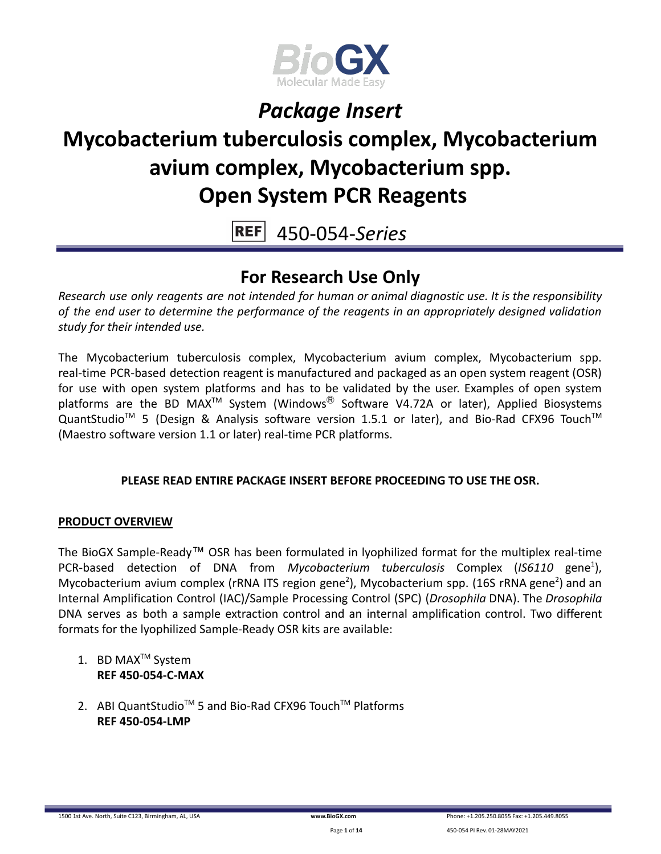

# **Mycobacterium tuberculosis complex, Mycobacterium avium complex, Mycobacterium spp. Open System PCR Reagents**

**REF** 450-054-*Series*

### **For Research Use Only**

*Research use only reagents are not intended for human or animal diagnostic use. It is the responsibility of the end user to determine the performance of the reagents in an appropriately designed validation study for their intended use.*

The Mycobacterium tuberculosis complex, Mycobacterium avium complex, Mycobacterium spp. real-time PCR-based detection reagent is manufactured and packaged as an open system reagent (OSR) for use with open system platforms and has to be validated by the user. Examples of open system platforms are the BD MAX<sup>TM</sup> System (Windows<sup>®</sup> Software V4.72A or later), Applied Biosystems QuantStudio<sup>™</sup> 5 (Design & Analysis software version 1.5.1 or later), and Bio-Rad CFX96 Touch<sup>™</sup> (Maestro software version 1.1 or later) real-time PCR platforms.

### **PLEASE READ ENTIRE PACKAGE INSERT BEFORE PROCEEDING TO USE THE OSR.**

### **PRODUCT OVERVIEW**

The BioGX Sample-Ready™ OSR has been formulated in lyophilized format for the multiplex real-time PCR-based detection of DNA from Mycobacterium tuberculosis Complex (IS6110 gene<sup>1</sup>), Mycobacterium avium complex (rRNA ITS region gene<sup>2</sup>), Mycobacterium spp. (16S rRNA gene<sup>2</sup>) and an Internal Amplification Control (IAC)/Sample Processing Control (SPC) (*Drosophila* DNA). The *Drosophila* DNA serves as both a sample extraction control and an internal amplification control. Two different formats for the lyophilized Sample-Ready OSR kits are available:

- 1. BD MAX<sup>™</sup> System **REF 450-054-C-MAX**
- 2. ABI QuantStudio<sup>™</sup> 5 and Bio-Rad CFX96 Touch™ Platforms **REF 450-054-LMP**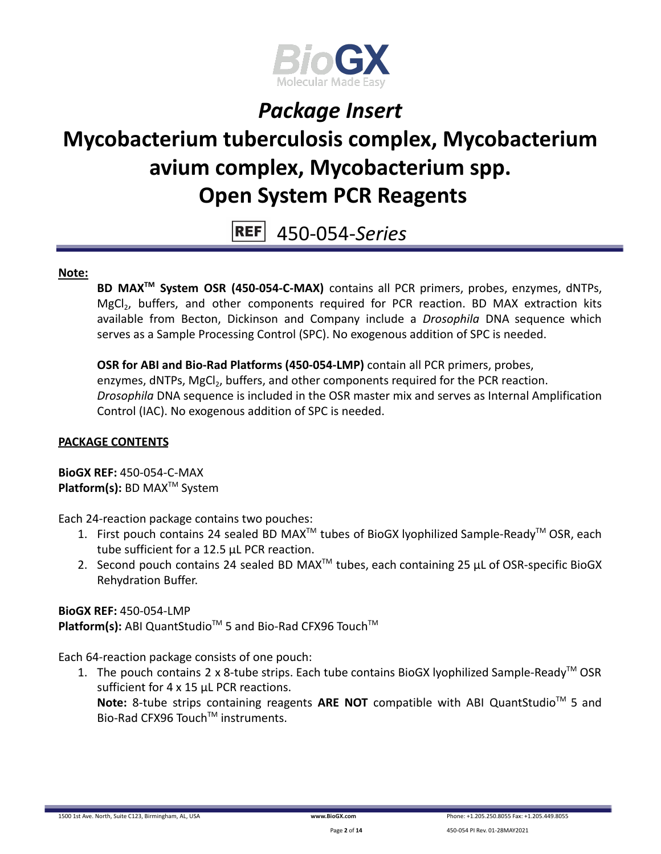

# **Mycobacterium tuberculosis complex, Mycobacterium avium complex, Mycobacterium spp. Open System PCR Reagents**

**REF** 450-054-*Series*

#### **Note:**

**BD MAXTM System OSR (450-054-C-MAX)** contains all PCR primers, probes, enzymes, dNTPs, MgCl<sub>2</sub>, buffers, and other components required for PCR reaction. BD MAX extraction kits available from Becton, Dickinson and Company include a *Drosophila* DNA sequence which serves as a Sample Processing Control (SPC). No exogenous addition of SPC is needed.

**OSR for ABI and Bio-Rad Platforms (450-054-LMP)** contain all PCR primers, probes, enzymes, dNTPs, MgCl<sub>2</sub>, buffers, and other components required for the PCR reaction. *Drosophila* DNA sequence is included in the OSR master mix and serves as Internal Amplification Control (IAC). No exogenous addition of SPC is needed.

### **PACKAGE CONTENTS**

**BioGX REF:** 450-054-C-MAX **Platform(s):** BD MAX<sup>™</sup> System

Each 24-reaction package contains two pouches:

- 1. First pouch contains 24 sealed BD MAX<sup>™</sup> tubes of BioGX lyophilized Sample-Ready<sup>™</sup> OSR, each tube sufficient for a 12.5 µL PCR reaction.
- 2. Second pouch contains 24 sealed BD MAX<sup>™</sup> tubes, each containing 25  $\mu$ L of OSR-specific BioGX Rehydration Buffer.

**BioGX REF:** 450-054-LMP

Platform(s): ABI QuantStudio<sup>™</sup> 5 and Bio-Rad CFX96 Touch<sup>™</sup>

Each 64-reaction package consists of one pouch:

1. The pouch contains 2 x 8-tube strips. Each tube contains BioGX lyophilized Sample-Ready<sup>™</sup> OSR sufficient for 4 x 15 µL PCR reactions.

Note: 8-tube strips containing reagents ARE NOT compatible with ABI QuantStudio<sup>™</sup> 5 and Bio-Rad CFX96 Touch™ instruments.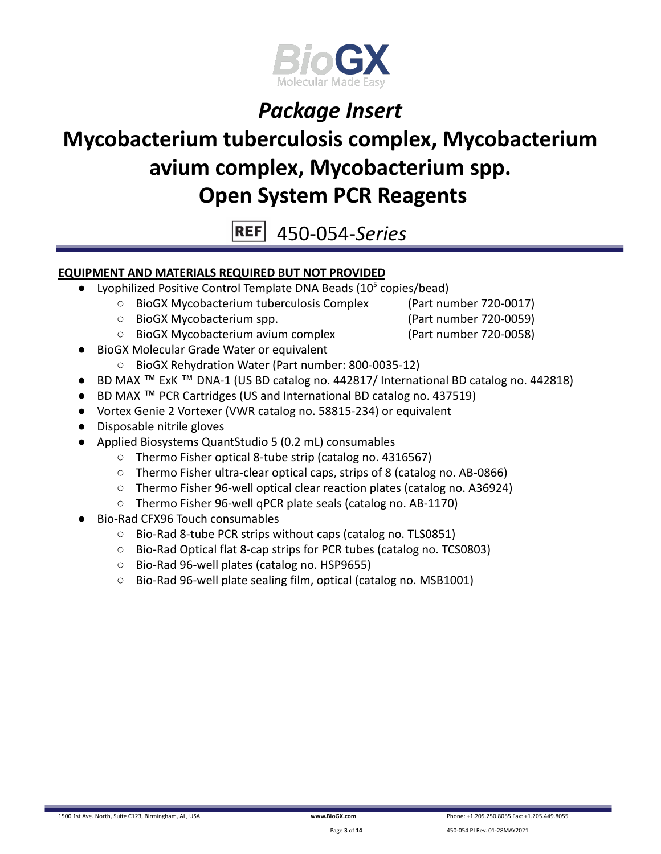

# **Mycobacterium tuberculosis complex, Mycobacterium avium complex, Mycobacterium spp. Open System PCR Reagents**

**REF** 450-054-*Series*

### **EQUIPMENT AND MATERIALS REQUIRED BUT NOT PROVIDED**

- Lyophilized Positive Control Template DNA Beads  $(10<sup>5</sup>$  copies/bead)
	- BioGX Mycobacterium tuberculosis Complex (Part number 720-0017)
	- BioGX Mycobacterium spp. (Part number 720-0059)
	- BioGX Mycobacterium avium complex (Part number 720-0058)
- **BioGX Molecular Grade Water or equivalent** 
	- BioGX Rehydration Water (Part number: 800-0035-12)
- BD MAX ™ ExK ™ DNA-1 (US BD catalog no. 442817/ International BD catalog no. 442818)
- BD MAX ™ PCR Cartridges (US and International BD catalog no. 437519)
- Vortex Genie 2 Vortexer (VWR catalog no. 58815-234) or equivalent
- Disposable nitrile gloves
- Applied Biosystems QuantStudio 5 (0.2 mL) consumables
	- Thermo Fisher optical 8-tube strip (catalog no. 4316567)
	- Thermo Fisher ultra-clear optical caps, strips of 8 (catalog no. AB-0866)
	- Thermo Fisher 96-well optical clear reaction plates (catalog no. A36924)
	- Thermo Fisher 96-well qPCR plate seals (catalog no. AB-1170)
- Bio-Rad CFX96 Touch consumables
	- Bio-Rad 8-tube PCR strips without caps (catalog no. TLS0851)
	- Bio-Rad Optical flat 8-cap strips for PCR tubes (catalog no. TCS0803)
	- Bio-Rad 96-well plates (catalog no. HSP9655)
	- Bio-Rad 96-well plate sealing film, optical (catalog no. MSB1001)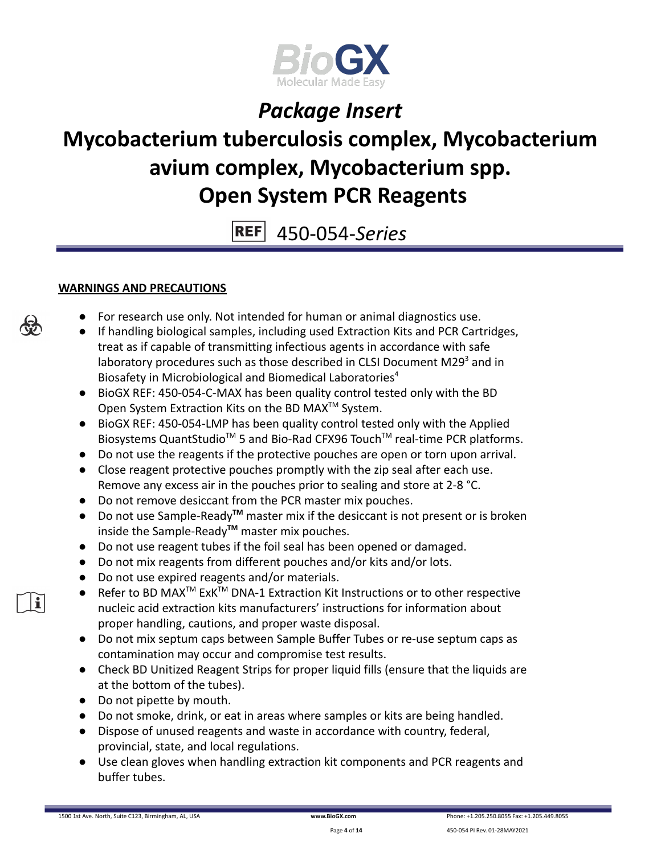

# **Mycobacterium tuberculosis complex, Mycobacterium avium complex, Mycobacterium spp. Open System PCR Reagents**

**REF** 450-054-*Series*

### **WARNINGS AND PRECAUTIONS**

- For research use only. Not intended for human or animal diagnostics use.
- If handling biological samples, including used Extraction Kits and PCR Cartridges, treat as if capable of transmitting infectious agents in accordance with safe laboratory procedures such as those described in CLSI Document M29 $3$  and in Biosafety in Microbiological and Biomedical Laboratories<sup>4</sup>
- BioGX REF: 450-054-C-MAX has been quality control tested only with the BD Open System Extraction Kits on the BD MAX<sup>™</sup> System.
- BioGX REF: 450-054-LMP has been quality control tested only with the Applied Biosystems QuantStudio<sup>™</sup> 5 and Bio-Rad CFX96 Touch<sup>™</sup> real-time PCR platforms.
- Do not use the reagents if the protective pouches are open or torn upon arrival.
- Close reagent protective pouches promptly with the zip seal after each use. Remove any excess air in the pouches prior to sealing and store at 2-8 °C.
- Do not remove desiccant from the PCR master mix pouches.
- Do not use Sample-Ready**TM** master mix if the desiccant is not present or is broken inside the Sample-Ready**TM** master mix pouches.
- Do not use reagent tubes if the foil seal has been opened or damaged.
- Do not mix reagents from different pouches and/or kits and/or lots.
- Do not use expired reagents and/or materials.
- Refer to BD MAX<sup>™</sup> ExK<sup>™</sup> DNA-1 Extraction Kit Instructions or to other respective nucleic acid extraction kits manufacturers' instructions for information about proper handling, cautions, and proper waste disposal.
- Do not mix septum caps between Sample Buffer Tubes or re-use septum caps as contamination may occur and compromise test results.
- Check BD Unitized Reagent Strips for proper liquid fills (ensure that the liquids are at the bottom of the tubes).
- Do not pipette by mouth.
- Do not smoke, drink, or eat in areas where samples or kits are being handled.
- Dispose of unused reagents and waste in accordance with country, federal, provincial, state, and local regulations.
- Use clean gloves when handling extraction kit components and PCR reagents and buffer tubes.



i.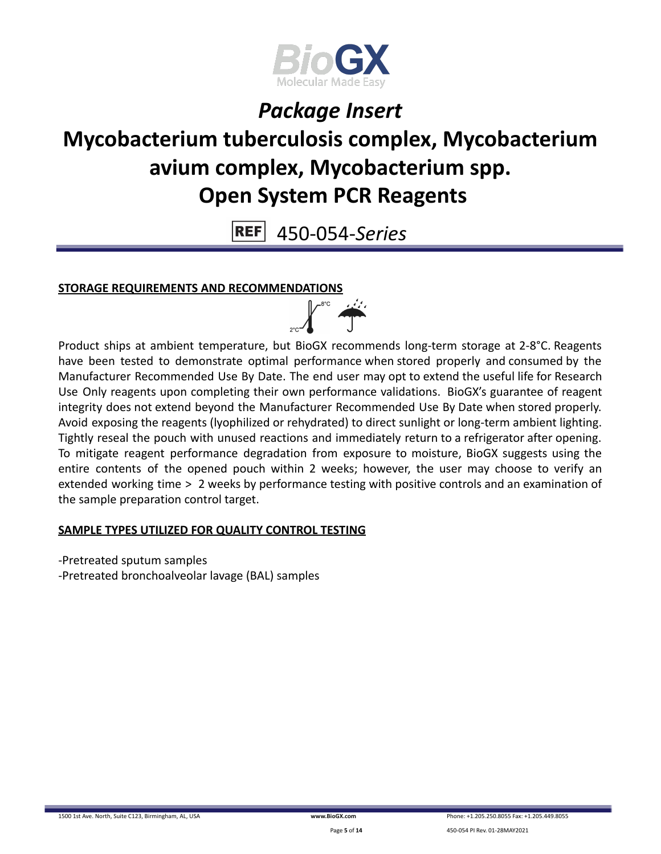

# **Mycobacterium tuberculosis complex, Mycobacterium avium complex, Mycobacterium spp. Open System PCR Reagents**

**REF** 450-054-*Series*

### **STORAGE REQUIREMENTS AND RECOMMENDATIONS**



Product ships at ambient temperature, but BioGX recommends long-term storage at 2-8°C. Reagents have been tested to demonstrate optimal performance when stored properly and consumed by the Manufacturer Recommended Use By Date. The end user may opt to extend the useful life for Research Use Only reagents upon completing their own performance validations. BioGX's guarantee of reagent integrity does not extend beyond the Manufacturer Recommended Use By Date when stored properly. Avoid exposing the reagents (lyophilized or rehydrated) to direct sunlight or long-term ambient lighting. Tightly reseal the pouch with unused reactions and immediately return to a refrigerator after opening. To mitigate reagent performance degradation from exposure to moisture, BioGX suggests using the entire contents of the opened pouch within 2 weeks; however, the user may choose to verify an extended working time > 2 weeks by performance testing with positive controls and an examination of the sample preparation control target.

### **SAMPLE TYPES UTILIZED FOR QUALITY CONTROL TESTING**

-Pretreated sputum samples -Pretreated bronchoalveolar lavage (BAL) samples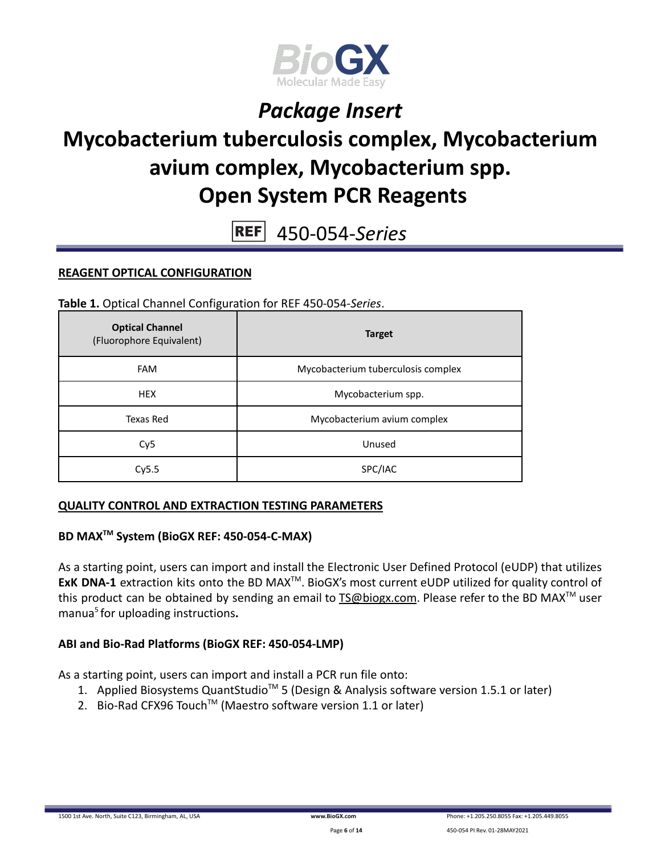

# **Mycobacterium tuberculosis complex, Mycobacterium avium complex, Mycobacterium spp. Open System PCR Reagents**

**REF** 450-054-*Series*

#### **REAGENT OPTICAL CONFIGURATION**

**Table 1.** Optical Channel Configuration for REF 450-054-*Series*.

| <b>Optical Channel</b><br>(Fluorophore Equivalent) | <b>Target</b>                      |
|----------------------------------------------------|------------------------------------|
| <b>FAM</b>                                         | Mycobacterium tuberculosis complex |
| <b>HEX</b>                                         | Mycobacterium spp.                 |
| Texas Red                                          | Mycobacterium avium complex        |
| Cy <sub>5</sub>                                    | Unused                             |
| Cv5.5                                              | SPC/IAC                            |

#### **QUALITY CONTROL AND EXTRACTION TESTING PARAMETERS**

### **BD MAXTM System (BioGX REF: 450-054-C-MAX)**

As a starting point, users can import and install the Electronic User Defined Protocol (eUDP) that utilizes ExK DNA-1 extraction kits onto the BD MAX<sup>™</sup>. BioGX's most current eUDP utilized for quality control of this product can be obtained by sending an email to [TS@biogx.com](mailto:TS@biogx.com). Please refer to the BD MAX<sup>TM</sup> user manua<sup>5</sup> for uploading instructions**.**

#### **ABI and Bio-Rad Platforms (BioGX REF: 450-054-LMP)**

As a starting point, users can import and install a PCR run file onto:

- 1. Applied Biosystems QuantStudio<sup>™</sup> 5 (Design & Analysis software version 1.5.1 or later)
- 2. Bio-Rad CFX96 Touch<sup>™</sup> (Maestro software version 1.1 or later)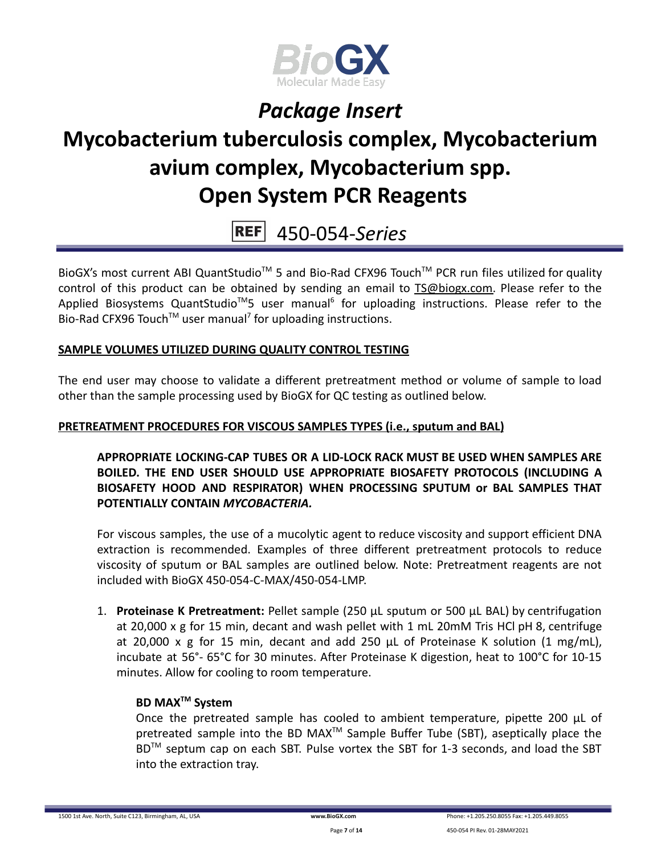

# **Mycobacterium tuberculosis complex, Mycobacterium avium complex, Mycobacterium spp. Open System PCR Reagents**

 $REF$ 450-054-*Series*

BioGX's most current ABI QuantStudio<sup>™</sup> 5 and Bio-Rad CFX96 Touch<sup>™</sup> PCR run files utilized for quality control of this product can be obtained by sending an email to [TS@biogx.com.](mailto:TS@biogx.com) Please refer to the Applied Biosystems QuantStudio<sup>™</sup>5 user manual<sup>6</sup> for uploading instructions. Please refer to the Bio-Rad CFX96 Touch<sup>TM</sup> user manual<sup>7</sup> for uploading instructions.

#### **SAMPLE VOLUMES UTILIZED DURING QUALITY CONTROL TESTING**

The end user may choose to validate a different pretreatment method or volume of sample to load other than the sample processing used by BioGX for QC testing as outlined below.

#### **PRETREATMENT PROCEDURES FOR VISCOUS SAMPLES TYPES (i.e., sputum and BAL)**

**APPROPRIATE LOCKING-CAP TUBES OR A LID-LOCK RACK MUST BE USED WHEN SAMPLES ARE BOILED. THE END USER SHOULD USE APPROPRIATE BIOSAFETY PROTOCOLS (INCLUDING A BIOSAFETY HOOD AND RESPIRATOR) WHEN PROCESSING SPUTUM or BAL SAMPLES THAT POTENTIALLY CONTAIN** *MYCOBACTERIA.*

For viscous samples, the use of a mucolytic agent to reduce viscosity and support efficient DNA extraction is recommended. Examples of three different pretreatment protocols to reduce viscosity of sputum or BAL samples are outlined below. Note: Pretreatment reagents are not included with BioGX 450-054-C-MAX/450-054-LMP.

1. **Proteinase K Pretreatment:** Pellet sample (250 μL sputum or 500 μL BAL) by centrifugation at 20,000 x g for 15 min, decant and wash pellet with 1 mL 20mM Tris HCl pH 8, centrifuge at 20,000 x g for 15 min, decant and add 250 μL of Proteinase K solution (1 mg/mL), incubate at 56°- 65°C for 30 minutes. After Proteinase K digestion, heat to 100°C for 10-15 minutes. Allow for cooling to room temperature.

#### **BD MAXTM System**

Once the pretreated sample has cooled to ambient temperature, pipette 200 μL of pretreated sample into the BD MAX<sup>™</sup> Sample Buffer Tube (SBT), aseptically place the BD<sup>™</sup> septum cap on each SBT. Pulse vortex the SBT for 1-3 seconds, and load the SBT into the extraction tray.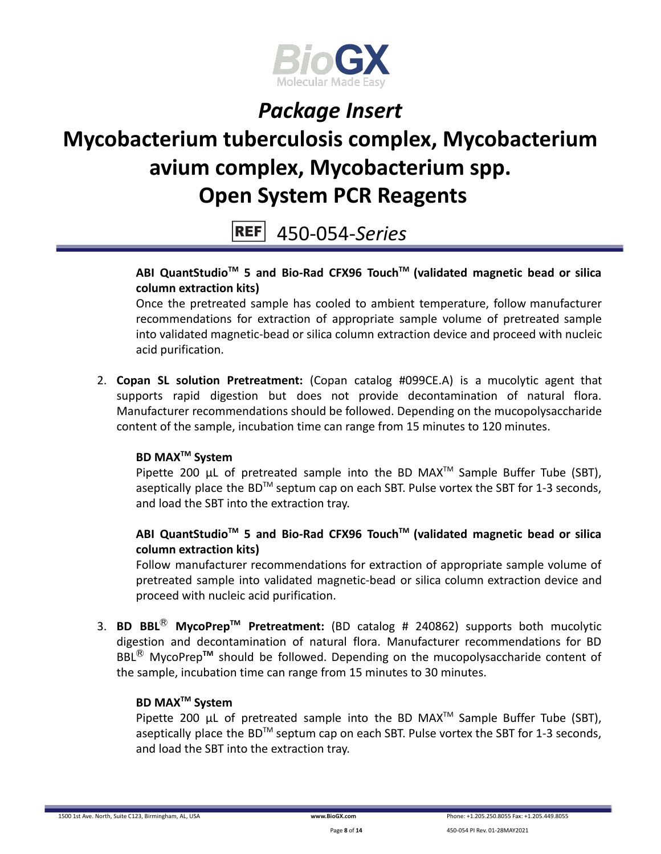

# **Mycobacterium tuberculosis complex, Mycobacterium avium complex, Mycobacterium spp. Open System PCR Reagents**

450-054-*Series*

### **ABI QuantStudioTM 5 and Bio-Rad CFX96 TouchTM (validated magnetic bead or silica column extraction kits)**

Once the pretreated sample has cooled to ambient temperature, follow manufacturer recommendations for extraction of appropriate sample volume of pretreated sample into validated magnetic-bead or silica column extraction device and proceed with nucleic acid purification.

2. **Copan SL solution Pretreatment:** (Copan catalog #099CE.A) is a mucolytic agent that supports rapid digestion but does not provide decontamination of natural flora. Manufacturer recommendations should be followed. Depending on the mucopolysaccharide content of the sample, incubation time can range from 15 minutes to 120 minutes.

### **BD MAXTM System**

Pipette 200  $\mu$ L of pretreated sample into the BD MAX<sup>TM</sup> Sample Buffer Tube (SBT), aseptically place the BD<sup>TM</sup> septum cap on each SBT. Pulse vortex the SBT for 1-3 seconds, and load the SBT into the extraction tray.

### **ABI QuantStudioTM 5 and Bio-Rad CFX96 TouchTM (validated magnetic bead or silica column extraction kits)**

Follow manufacturer recommendations for extraction of appropriate sample volume of pretreated sample into validated magnetic-bead or silica column extraction device and proceed with nucleic acid purification.

3. **BD BBL**Ⓡ **MycoPrepTM Pretreatment:** (BD catalog # 240862) supports both mucolytic digestion and decontamination of natural flora. Manufacturer recommendations for BD BBL<sup>®</sup> MycoPrep<sup>™</sup> should be followed. Depending on the mucopolysaccharide content of the sample, incubation time can range from 15 minutes to 30 minutes.

### **BD MAXTM System**

Pipette 200  $\mu$ L of pretreated sample into the BD MAX<sup>TM</sup> Sample Buffer Tube (SBT), aseptically place the BD<sup>TM</sup> septum cap on each SBT. Pulse vortex the SBT for 1-3 seconds, and load the SBT into the extraction tray.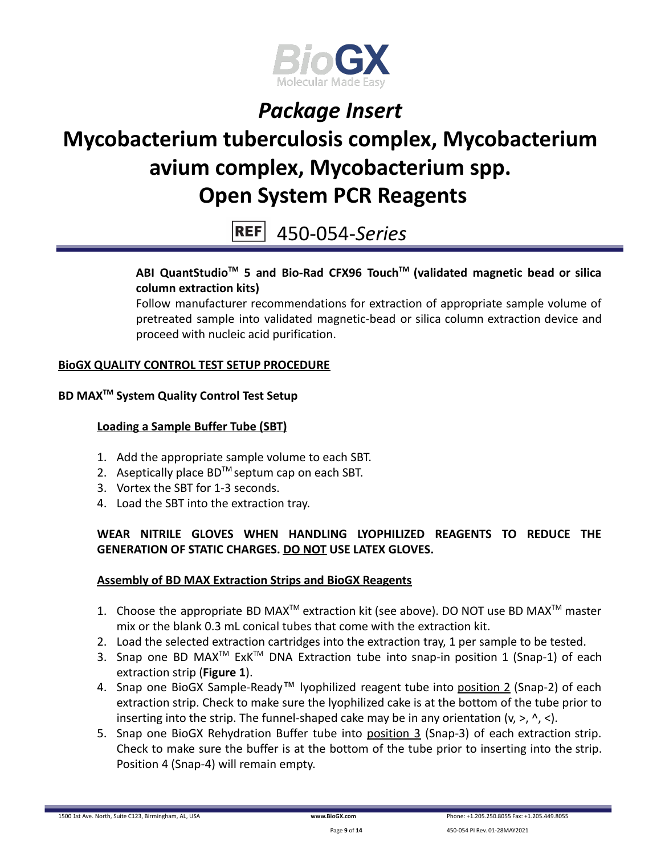

# **Mycobacterium tuberculosis complex, Mycobacterium avium complex, Mycobacterium spp. Open System PCR Reagents**

450-054-*Series*

### **ABI QuantStudioTM 5 and Bio-Rad CFX96 TouchTM (validated magnetic bead or silica column extraction kits)**

Follow manufacturer recommendations for extraction of appropriate sample volume of pretreated sample into validated magnetic-bead or silica column extraction device and proceed with nucleic acid purification.

### **BioGX QUALITY CONTROL TEST SETUP PROCEDURE**

### **BD MAXTM System Quality Control Test Setup**

#### **Loading a Sample Buffer Tube (SBT)**

- 1. Add the appropriate sample volume to each SBT.
- 2. Aseptically place  $BD^{TM}$  septum cap on each SBT.
- 3. Vortex the SBT for 1-3 seconds.
- 4. Load the SBT into the extraction tray.

### **WEAR NITRILE GLOVES WHEN HANDLING LYOPHILIZED REAGENTS TO REDUCE THE GENERATION OF STATIC CHARGES. DO NOT USE LATEX GLOVES.**

#### **Assembly of BD MAX Extraction Strips and BioGX Reagents**

- 1. Choose the appropriate BD MAX<sup>TM</sup> extraction kit (see above). DO NOT use BD MAX<sup>TM</sup> master mix or the blank 0.3 mL conical tubes that come with the extraction kit.
- 2. Load the selected extraction cartridges into the extraction tray, 1 per sample to be tested.
- 3. Snap one BD MAX<sup>™</sup> ExK<sup>™</sup> DNA Extraction tube into snap-in position 1 (Snap-1) of each extraction strip (**Figure 1**).
- 4. Snap one BioGX Sample-Ready™ lyophilized reagent tube into position 2 (Snap-2) of each extraction strip. Check to make sure the lyophilized cake is at the bottom of the tube prior to inserting into the strip. The funnel-shaped cake may be in any orientation  $(v, >, \land, <)$ .
- 5. Snap one BioGX Rehydration Buffer tube into position 3 (Snap-3) of each extraction strip. Check to make sure the buffer is at the bottom of the tube prior to inserting into the strip. Position 4 (Snap-4) will remain empty.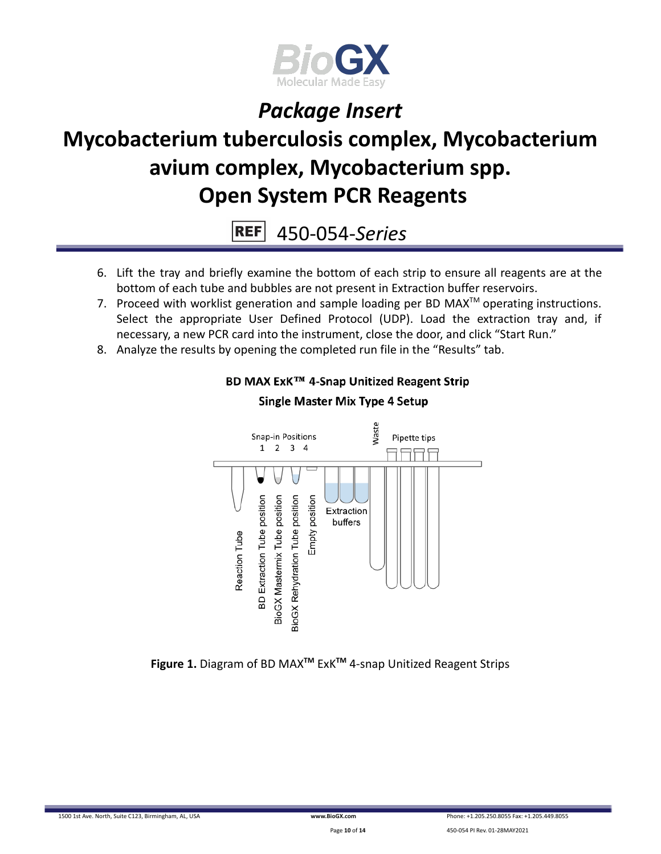

# **Mycobacterium tuberculosis complex, Mycobacterium avium complex, Mycobacterium spp. Open System PCR Reagents**

**REF** 450-054-*Series*

- 6. Lift the tray and briefly examine the bottom of each strip to ensure all reagents are at the bottom of each tube and bubbles are not present in Extraction buffer reservoirs.
- 7. Proceed with worklist generation and sample loading per BD MAX $^{TM}$  operating instructions. Select the appropriate User Defined Protocol (UDP). Load the extraction tray and, if necessary, a new PCR card into the instrument, close the door, and click "Start Run."
- 8. Analyze the results by opening the completed run file in the "Results" tab.



### BD MAX ExK™ 4-Snap Unitized Reagent Strip

**Figure 1.** Diagram of BD MAX**TM** ExK**TM** 4-snap Unitized Reagent Strips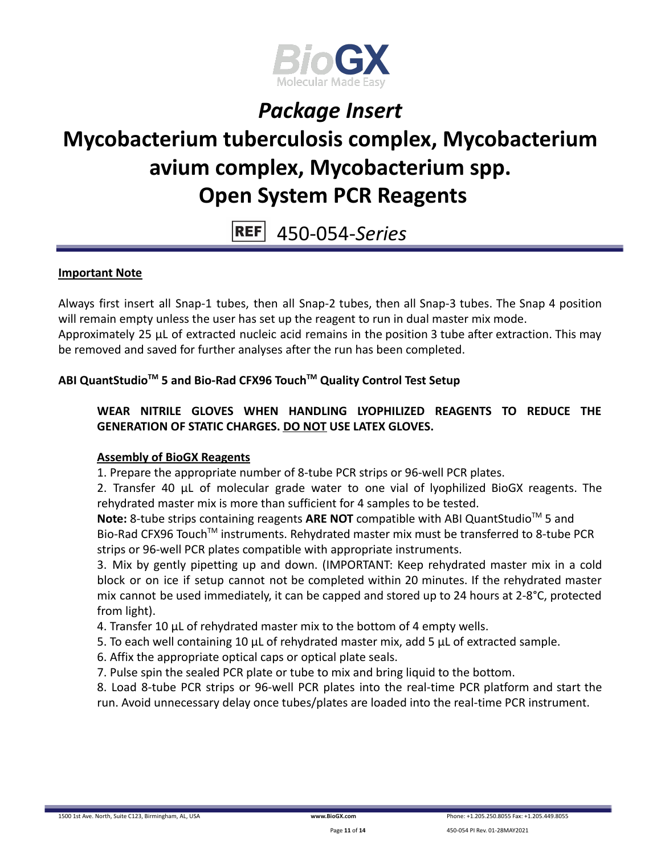

# **Mycobacterium tuberculosis complex, Mycobacterium avium complex, Mycobacterium spp. Open System PCR Reagents**

#### **REF** 450-054-*Series*

### **Important Note**

Always first insert all Snap-1 tubes, then all Snap-2 tubes, then all Snap-3 tubes. The Snap 4 position will remain empty unless the user has set up the reagent to run in dual master mix mode. Approximately 25 µL of extracted nucleic acid remains in the position 3 tube after extraction. This may be removed and saved for further analyses after the run has been completed.

### **ABI QuantStudioTM 5 and Bio-Rad CFX96 TouchTM Quality Control Test Setup**

### **WEAR NITRILE GLOVES WHEN HANDLING LYOPHILIZED REAGENTS TO REDUCE THE GENERATION OF STATIC CHARGES. DO NOT USE LATEX GLOVES.**

### **Assembly of BioGX Reagents**

1. Prepare the appropriate number of 8-tube PCR strips or 96-well PCR plates.

2. Transfer 40 μL of molecular grade water to one vial of lyophilized BioGX reagents. The rehydrated master mix is more than sufficient for 4 samples to be tested.

Note: 8-tube strips containing reagents ARE NOT compatible with ABI QuantStudio<sup>™</sup> 5 and Bio-Rad CFX96 Touch<sup>™</sup> instruments. Rehydrated master mix must be transferred to 8-tube PCR strips or 96-well PCR plates compatible with appropriate instruments.

3. Mix by gently pipetting up and down. (IMPORTANT: Keep rehydrated master mix in a cold block or on ice if setup cannot not be completed within 20 minutes. If the rehydrated master mix cannot be used immediately, it can be capped and stored up to 24 hours at 2-8°C, protected from light).

4. Transfer 10 μL of rehydrated master mix to the bottom of 4 empty wells.

5. To each well containing 10 μL of rehydrated master mix, add 5 μL of extracted sample.

6. Affix the appropriate optical caps or optical plate seals.

7. Pulse spin the sealed PCR plate or tube to mix and bring liquid to the bottom.

8. Load 8-tube PCR strips or 96-well PCR plates into the real-time PCR platform and start the run. Avoid unnecessary delay once tubes/plates are loaded into the real-time PCR instrument.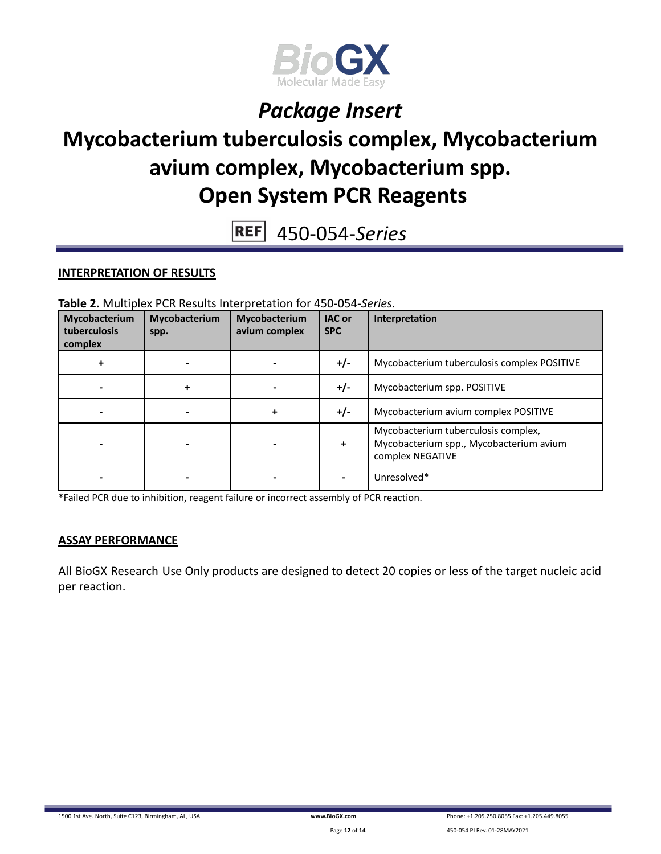

## **Mycobacterium tuberculosis complex, Mycobacterium avium complex, Mycobacterium spp. Open System PCR Reagents**

450-054-*Series*

#### **INTERPRETATION OF RESULTS**

**Table 2.** Multiplex PCR Results Interpretation for 450-054-*Series*.

| Mycobacterium<br>tuberculosis<br>complex | Mycobacterium<br>spp. | Mycobacterium<br>avium complex | <b>IAC</b> or<br><b>SPC</b> | Interpretation                                                                                     |
|------------------------------------------|-----------------------|--------------------------------|-----------------------------|----------------------------------------------------------------------------------------------------|
|                                          |                       |                                | $+/-$                       | Mycobacterium tuberculosis complex POSITIVE                                                        |
|                                          |                       |                                | $+/-$                       | Mycobacterium spp. POSITIVE                                                                        |
|                                          |                       |                                | $+/-$                       | Mycobacterium avium complex POSITIVE                                                               |
|                                          |                       |                                | ÷                           | Mycobacterium tuberculosis complex,<br>Mycobacterium spp., Mycobacterium avium<br>complex NEGATIVE |
|                                          |                       |                                |                             | Unresolved*                                                                                        |

\*Failed PCR due to inhibition, reagent failure or incorrect assembly of PCR reaction.

#### **ASSAY PERFORMANCE**

All BioGX Research Use Only products are designed to detect 20 copies or less of the target nucleic acid per reaction.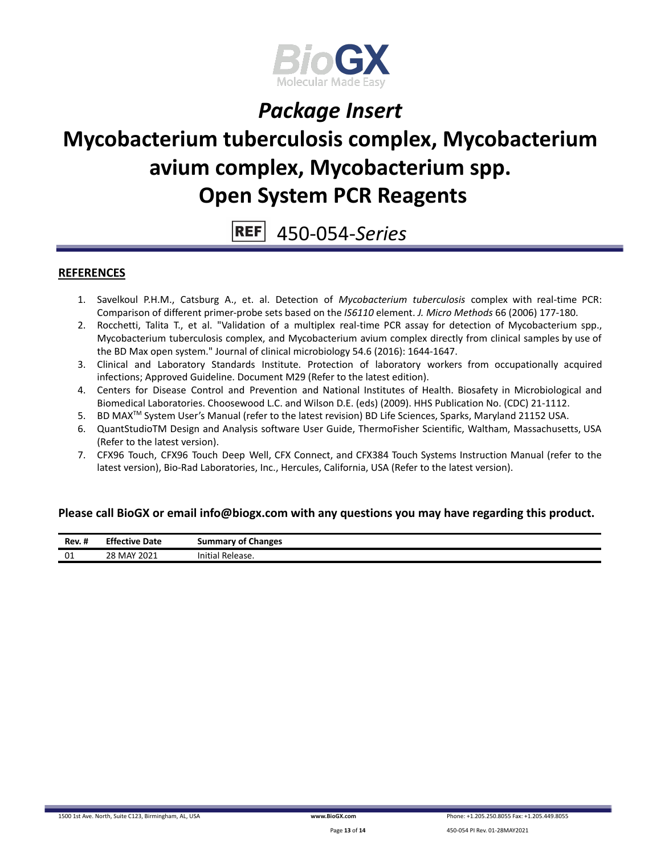

## **Mycobacterium tuberculosis complex, Mycobacterium avium complex, Mycobacterium spp. Open System PCR Reagents**

**REF** 450-054-*Series*

#### **REFERENCES**

- 1. Savelkoul P.H.M., Catsburg A., et. al. Detection of *Mycobacterium tuberculosis* complex with real-time PCR: Comparison of different primer-probe sets based on the *IS6110* element. *J. Micro Methods* 66 (2006) 177-180.
- 2. Rocchetti, Talita T., et al. "Validation of a multiplex real-time PCR assay for detection of Mycobacterium spp., Mycobacterium tuberculosis complex, and Mycobacterium avium complex directly from clinical samples by use of the BD Max open system." Journal of clinical microbiology 54.6 (2016): 1644-1647.
- 3. Clinical and Laboratory Standards Institute. Protection of laboratory workers from occupationally acquired infections; Approved Guideline. Document M29 (Refer to the latest edition).
- 4. Centers for Disease Control and Prevention and National Institutes of Health. Biosafety in Microbiological and Biomedical Laboratories. Choosewood L.C. and Wilson D.E. (eds) (2009). HHS Publication No. (CDC) 21-1112.
- 5. BD MAX TM System User's Manual (refer to the latest revision) BD Life Sciences, Sparks, Maryland 21152 USA.
- 6. QuantStudioTM Design and Analysis software User Guide, ThermoFisher Scientific, Waltham, Massachusetts, USA (Refer to the latest version).
- 7. CFX96 Touch, CFX96 Touch Deep Well, CFX Connect, and CFX384 Touch Systems Instruction Manual (refer to the latest version), Bio-Rad Laboratories, Inc., Hercules, California, USA (Refer to the latest version).

#### **Please call BioGX or email info@biogx.com with any questions you may have regarding this product.**

| <br>Rev. #<br> | <b>Effective Date</b> | <b>Summary of Changes</b> |
|----------------|-----------------------|---------------------------|
| 01             | 28 MAY 2021           | Initial<br>' Release.     |